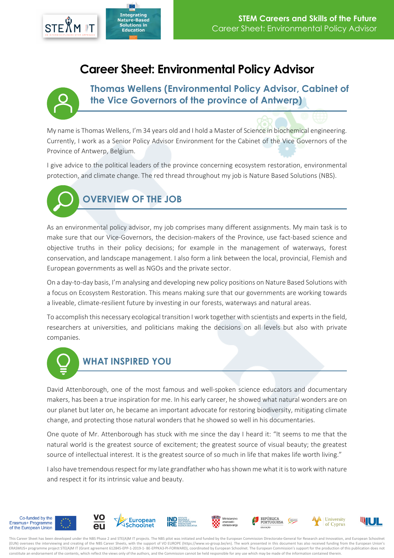# **Career Sheet: Environmental Policy Advisor**

### **Thomas Wellens (Environmental Policy Advisor, Cabinet of the Vice Governors of the province of Antwerp)**

My name is Thomas Wellens, I'm 34 years old and I hold a Master of Science in biochemical engineering. Currently, I work as a Senior Policy Advisor Environment for the Cabinet of the Vice Governors of the Province of Antwerp, Belgium.

I give advice to the political leaders of the province concerning ecosystem restoration, environmental protection, and climate change. The red thread throughout my job is Nature Based Solutions (NBS).



As an environmental policy advisor, my job comprises many different assignments. My main task is to make sure that our Vice-Governors, the decision-makers of the Province, use fact-based science and objective truths in their policy decisions; for example in the management of waterways, forest conservation, and landscape management. I also form a link between the local, provincial, Flemish and European governments as well as NGOs and the private sector.

On a day-to-day basis, I'm analysing and developing new policy positions on Nature Based Solutions with a focus on Ecosystem Restoration. This means making sure that our governments are working towards a liveable, climate-resilient future by investing in our forests, waterways and natural areas.

To accomplish this necessary ecological transition I work together with scientists and experts in the field, researchers at universities, and politicians making the decisions on all levels but also with private companies.



David Attenborough, one of the most famous and well-spoken science educators and documentary makers, has been a true inspiration for me. In his early career, he showed what natural wonders are on our planet but later on, he became an important advocate for restoring biodiversity, mitigating climate change, and protecting those natural wonders that he showed so well in his documentaries.

One quote of Mr. Attenborough has stuck with me since the day I heard it: "It seems to me that the natural world is the greatest source of excitement; the greatest source of visual beauty; the greatest source of intellectual interest. It is the greatest source of so much in life that makes life worth living."

I also have tremendous respect for my late grandfather who has shown me what it is to work with nature and respect it for its intrinsic value and beauty.



This Career Sheet has been developed under the NBS Phase 2 and STE(A)M IT projects. The NBS pilot was initiated and funded by the European Commission Directorate-General for Research and Innovation, and European Schoolnet (EUN) oversees the interviewing and creating of the NBS Career Sheets, with the support of VO EUROPE (https://www.vo-group.be/en). The work presented in this document has also received funding from the European Union's ERASMUS+ programme project STE(A)M IT (Grant agreement 612845-EPP-1-2019-1- BE-EPPKA3-PI-FORWARD), coordinated by European Schoolnet. The European Commission's support for the production of this publication does not constitute an endorsement of the contents, which reflect the views only of the authors, and the Commission cannot be held responsible for any use which may be made of the information contained therein.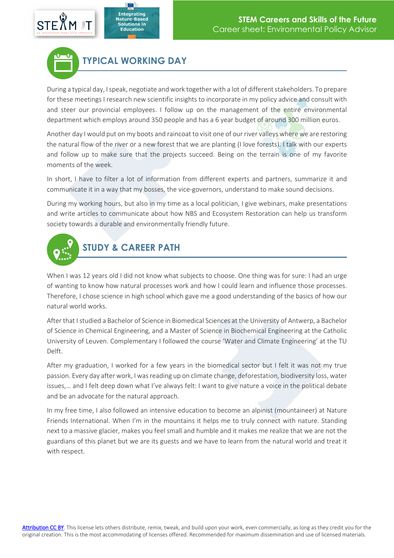

# **TYPICAL WORKING DAY**

**Based** 

During a typical day, I speak, negotiate and work together with a lot of different stakeholders. To prepare for these meetings I research new scientific insights to incorporate in my policy advice and consult with and steer our provincial employees. I follow up on the management of the entire environmental department which employs around 350 people and has a 6 year budget of around 300 million euros.

Another day I would put on my boots and raincoat to visit one of our river valleys where we are restoring the natural flow of the river or a new forest that we are planting (I love forests). I talk with our experts and follow up to make sure that the projects succeed. Being on the terrain is one of my favorite moments of the week.

In short, I have to filter a lot of information from different experts and partners, summarize it and communicate it in a way that my bosses, the vice-governors, understand to make sound decisions.

During my working hours, but also in my time as a local politician, I give webinars, make presentations and write articles to communicate about how NBS and Ecosystem Restoration can help us transform society towards a durable and environmentally friendly future.



When I was 12 years old I did not know what subjects to choose. One thing was for sure: I had an urge of wanting to know how natural processes work and how I could learn and influence those processes. Therefore, I chose science in high school which gave me a good understanding of the basics of how our natural world works.

After that I studied a Bachelor of Science in Biomedical Sciences at the University of Antwerp, a Bachelor of Science in Chemical Engineering, and a Master of Science in Biochemical Engineering at the Catholic University of Leuven. Complementary I followed the course 'Water and Climate Engineering' at the TU Delft.

After my graduation, I worked for a few years in the biomedical sector but I felt it was not my true passion. Every day after work, I was reading up on climate change, deforestation, biodiversity loss, water issues,… and I felt deep down what I've always felt: I want to give nature a voice in the political debate and be an advocate for the natural approach.

In my free time, I also followed an intensive education to become an alpinist (mountaineer) at Nature Friends International. When I'm in the mountains it helps me to truly connect with nature. Standing next to a massive glacier, makes you feel small and humble and it makes me realize that we are not the guardians of this planet but we are its guests and we have to learn from the natural world and treat it with respect.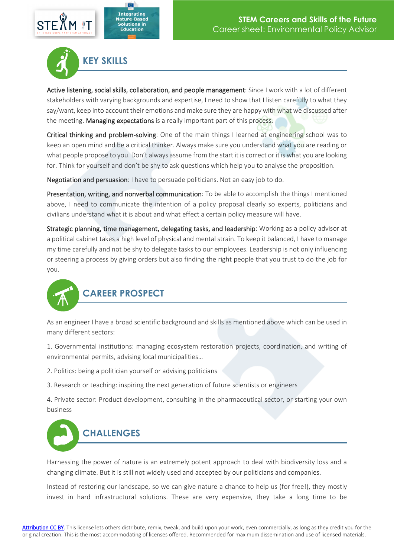



Active listening, social skills, collaboration, and people management: Since I work with a lot of different stakeholders with varying backgrounds and expertise, I need to show that I listen carefully to what they say/want, keep into account their emotions and make sure they are happy with what we discussed after the meeting. Managing expectations is a really important part of this process.

Critical thinking and problem-solving: One of the main things I learned at engineering school was to keep an open mind and be a critical thinker. Always make sure you understand what you are reading or what people propose to you. Don't always assume from the start it is correct or it is what you are looking for. Think for yourself and don't be shy to ask questions which help you to analyse the proposition.

Negotiation and persuasion: I have to persuade politicians. Not an easy job to do.

Presentation, writing, and nonverbal communication: To be able to accomplish the things I mentioned above, I need to communicate the intention of a policy proposal clearly so experts, politicians and civilians understand what it is about and what effect a certain policy measure will have.

Strategic planning, time management, delegating tasks, and leadership: Working as a policy advisor at a political cabinet takes a high level of physical and mental strain. To keep it balanced, I have to manage my time carefully and not be shy to delegate tasks to our employees. Leadership is not only influencing or steering a process by giving orders but also finding the right people that you trust to do the job for you.



## **CAREER PROSPECT**

As an engineer I have a broad scientific background and skills as mentioned above which can be used in many different sectors:

1. Governmental institutions: managing ecosystem restoration projects, coordination, and writing of environmental permits, advising local municipalities…

2. Politics: being a politician yourself or advising politicians

3. Research or teaching: inspiring the next generation of future scientists or engineers

4. Private sector: Product development, consulting in the pharmaceutical sector, or starting your own business



Harnessing the power of nature is an extremely potent approach to deal with biodiversity loss and a changing climate. But it is still not widely used and accepted by our politicians and companies.

Instead of restoring our landscape, so we can give nature a chance to help us (for free!), they mostly invest in hard infrastructural solutions. These are very expensive, they take a long time to be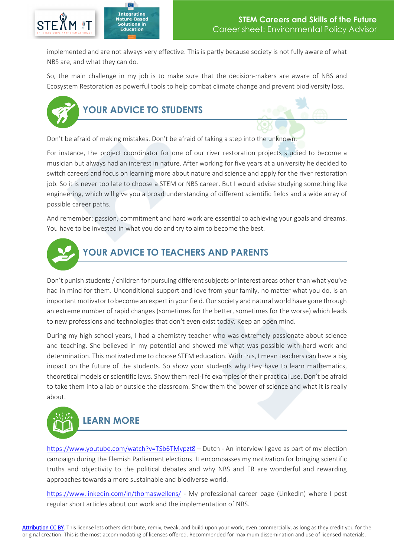

implemented and are not always very effective. This is partly because society is not fully aware of what NBS are, and what they can do.

So, the main challenge in my job is to make sure that the decision-makers are aware of NBS and Ecosystem Restoration as powerful tools to help combat climate change and prevent biodiversity loss.



Don't be afraid of making mistakes. Don't be afraid of taking a step into the unknown.

For instance, the project coordinator for one of our river restoration projects studied to become a musician but always had an interest in nature. After working for five years at a university he decided to switch careers and focus on learning more about nature and science and apply for the river restoration job. So it is never too late to choose a STEM or NBS career. But I would advise studying something like engineering, which will give you a broad understanding of different scientific fields and a wide array of possible career paths.

And remember: passion, commitment and hard work are essential to achieving your goals and dreams. You have to be invested in what you do and try to aim to become the best.



Don't punish students/ children for pursuing different subjects or interest areas other than what you've had in mind for them. Unconditional support and love from your family, no matter what you do, Is an important motivator to become an expert in your field. Our society and natural world have gone through an extreme number of rapid changes (sometimes for the better, sometimes for the worse) which leads to new professions and technologies that don't even exist today. Keep an open mind.

During my high school years, I had a chemistry teacher who was extremely passionate about science and teaching. She believed in my potential and showed me what was possible with hard work and determination. This motivated me to choose STEM education. With this, I mean teachers can have a big impact on the future of the students. So show your students why they have to learn mathematics, theoretical models or scientific laws. Show them real-life examples of their practical use. Don't be afraid to take them into a lab or outside the classroom. Show them the power of science and what it is really about.



<https://www.youtube.com/watch?v=TSb6TMvpzt8> – Dutch - An interview I gave as part of my election campaign during the Flemish Parliament elections. It encompasses my motivation for bringing scientific truths and objectivity to the political debates and why NBS and ER are wonderful and rewarding approaches towards a more sustainable and biodiverse world.

<https://www.linkedin.com/in/thomaswellens/> - My professional career page (LinkedIn) where I post regular short articles about our work and the implementation of NBS.